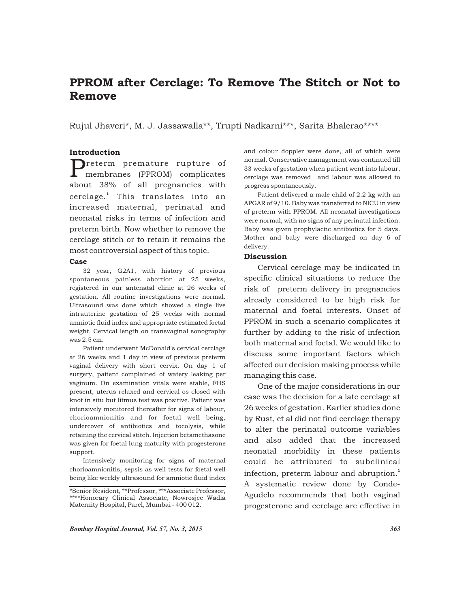# PPROM after Cerclage: To Remove The Stitch or Not to Remove

Rujul Jhaveri\*, M. J. Jassawalla\*\*, Trupti Nadkarni\*\*\*, Sarita Bhalerao\*\*\*\*

# Introduction

**P**reterm premature rupture of membranes (PPROM) complicates about 38% of all pregnancies with cerclage.<sup>1</sup> This translates into an increased maternal, perinatal and neonatal risks in terms of infection and preterm birth. Now whether to remove the cerclage stitch or to retain it remains the most controversial aspect of this topic.

#### Case

32 year, G2A1, with history of previous spontaneous painless abortion at 25 weeks, registered in our antenatal clinic at 26 weeks of gestation. All routine investigations were normal. Ultrasound was done which showed a single live intrauterine gestation of 25 weeks with normal amniotic fluid index and appropriate estimated foetal weight. Cervical length on transvaginal sonography was 2.5 cm.

Patient underwent McDonald's cervical cerclage at 26 weeks and 1 day in view of previous preterm vaginal delivery with short cervix. On day 1 of surgery, patient complained of watery leaking per vaginum. On examination vitals were stable, FHS present, uterus relaxed and cervical os closed with knot in situ but litmus test was positive. Patient was intensively monitored thereafter for signs of labour, chorioamnionitis and for foetal well being, undercover of antibiotics and tocolysis, while retaining the cervical stitch. Injection betamethasone was given for foetal lung maturity with progesterone support.

Intensively monitoring for signs of maternal chorioamnionitis, sepsis as well tests for foetal well being like weekly ultrasound for amniotic fluid index

and colour doppler were done, all of which were normal. Conservative management was continued till 33 weeks of gestation when patient went into labour, cerclage was removed and labour was allowed to progress spontaneously.

Patient delivered a male child of 2.2 kg with an APGAR of 9/10. Baby was transferred to NICU in view of preterm with PPROM. All neonatal investigations were normal, with no signs of any perinatal infection. Baby was given prophylactic antibiotics for 5 days. Mother and baby were discharged on day 6 of delivery.

### **Discussion**

Cervical cerclage may be indicated in specific clinical situations to reduce the risk of preterm delivery in pregnancies already considered to be high risk for maternal and foetal interests. Onset of PPROM in such a scenario complicates it further by adding to the risk of infection both maternal and foetal. We would like to discuss some important factors which affected our decision making process while managing this case.

One of the major considerations in our case was the decision for a late cerclage at 26 weeks of gestation. Earlier studies done by Rust, et al did not find cerclage therapy to alter the perinatal outcome variables and also added that the increased neonatal morbidity in these patients could be attributed to subclinical infection, preterm labour and abruption.<sup>1</sup> A systematic review done by Conde-Agudelo recommends that both vaginal progesterone and cerclage are effective in

<sup>\*</sup>Senior Resident, \*\*Professor, \*\*\*Associate Professor, \*\*\*\*Honorary Clinical Associate, Nowrosjee Wadia Maternity Hospital, Parel, Mumbai - 400 012.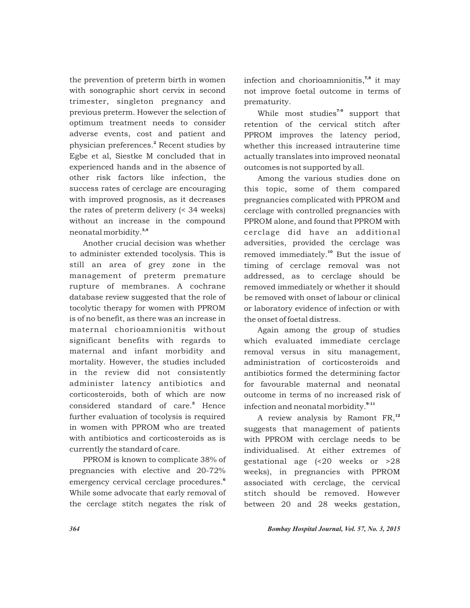the prevention of preterm birth in women with sonographic short cervix in second trimester, singleton pregnancy and previous preterm. However the selection of optimum treatment needs to consider adverse events, cost and patient and physician preferences.<sup>2</sup> Recent studies by Egbe et al, Siestke M concluded that in experienced hands and in the absence of other risk factors like infection, the success rates of cerclage are encouraging with improved prognosis, as it decreases the rates of preterm delivery (< 34 weeks) without an increase in the compound neonatal morbidity.<sup>3,4</sup>

Another crucial decision was whether to administer extended tocolysis. This is still an area of grey zone in the management of preterm premature rupture of membranes. A cochrane database review suggested that the role of tocolytic therapy for women with PPROM is of no benefit, as there was an increase in maternal chorioamnionitis without significant benefits with regards to maternal and infant morbidity and mortality. However, the studies included in the review did not consistently administer latency antibiotics and corticosteroids, both of which are now considered standard of care.<sup>5</sup> Hence further evaluation of tocolysis is required in women with PPROM who are treated with antibiotics and corticosteroids as is currently the standard of care.

PPROM is known to complicate 38% of pregnancies with elective and 20-72% emergency cervical cerclage procedures.<sup>6</sup> While some advocate that early removal of the cerclage stitch negates the risk of infection and chorioamnionitis, $7,8$  it may not improve foetal outcome in terms of prematurity.

While most studies<sup>7-9</sup> support that retention of the cervical stitch after PPROM improves the latency period, whether this increased intrauterine time actually translates into improved neonatal outcomes is not supported by all.

Among the various studies done on this topic, some of them compared pregnancies complicated with PPROM and cerclage with controlled pregnancies with PPROM alone, and found that PPROM with cerclage did have an additional adversities, provided the cerclage was removed immediately.<sup>10</sup> But the issue of timing of cerclage removal was not addressed, as to cerclage should be removed immediately or whether it should be removed with onset of labour or clinical or laboratory evidence of infection or with the onset of foetal distress.

Again among the group of studies which evaluated immediate cerclage removal versus in situ management, administration of corticosteroids and antibiotics formed the determining factor for favourable maternal and neonatal outcome in terms of no increased risk of infection and neonatal morbidity.<sup>9-11</sup>

A review analysis by Ramont  $FR$ ,<sup>12</sup> suggests that management of patients with PPROM with cerclage needs to be individualised. At either extremes of gestational age (<20 weeks or >28 weeks), in pregnancies with PPROM associated with cerclage, the cervical stitch should be removed. However between 20 and 28 weeks gestation,

*364 Bombay Hospital Journal, Vol. 57, No. 3, 2015*